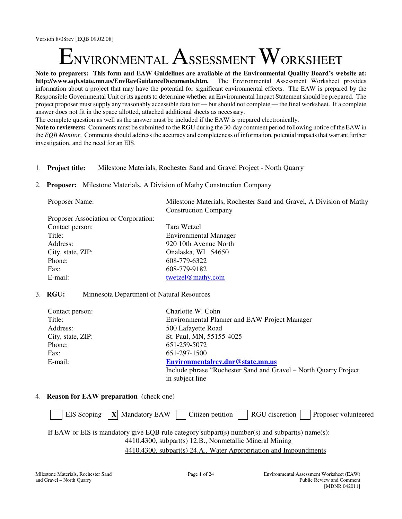Version 8/08rev [EQB 09.02.08]

# NVIRONMENTAL  $\mathrm A_\mathrm{SSESSMENT} \mathrm W_\mathrm{ORKSHEET}$

**Note to preparers: This form and EAW Guidelines are available at the Environmental Quality Board's website at: http://www.eqb.state.mn.us/EnvRevGuidanceDocuments.htm.** The Environmental Assessment Worksheet provides information about a project that may have the potential for significant environmental effects. The EAW is prepared by the Responsible Governmental Unit or its agents to determine whether an Environmental Impact Statement should be prepared. The project proposer must supply any reasonably accessible data for — but should not complete — the final worksheet. If a complete answer does not fit in the space allotted, attached additional sheets as necessary.

The complete question as well as the answer must be included if the EAW is prepared electronically.

**Note to reviewers:** Comments must be submitted to the RGU during the 30-day comment period following notice of the EAW in the *EQB Monitor*. Comments should address the accuracy and completeness of information, potential impacts that warrant further investigation, and the need for an EIS.

- 1. **Project title:** Milestone Materials, Rochester Sand and Gravel Project North Quarry
- 2. **Proposer:** Milestone Materials, A Division of Mathy Construction Company

| Proposer Name:                       | Milestone Materials, Rochester Sand and Gravel, A Division of Mathy |
|--------------------------------------|---------------------------------------------------------------------|
|                                      | <b>Construction Company</b>                                         |
| Proposer Association or Corporation: |                                                                     |
| Contact person:                      | Tara Wetzel                                                         |
| Title:                               | <b>Environmental Manager</b>                                        |
| Address:                             | 920 10th Avenue North                                               |
| City, state, ZIP:                    | Onalaska, WI 54650                                                  |
| Phone:                               | 608-779-6322                                                        |
| Fax:                                 | 608-779-9182                                                        |
| E-mail:                              | twetzel@mathy.com                                                   |

### 3. **RGU:** Minnesota Department of Natural Resources

| Contact person:   | Charlotte W. Cohn                                                |
|-------------------|------------------------------------------------------------------|
| Title:            | <b>Environmental Planner and EAW Project Manager</b>             |
| Address:          | 500 Lafayette Road                                               |
| City, state, ZIP: | St. Paul, MN, 55155-4025                                         |
| Phone:            | 651-259-5072                                                     |
| Fax:              | 651-297-1500                                                     |
| E-mail:           | Environmentalrev.dnr@state.mn.us                                 |
|                   | Include phrase "Rochester Sand and Gravel – North Quarry Project |
|                   | in subject line                                                  |

# 4. **Reason for EAW preparation** (check one)

| EIS Scoping $\ X\ $ Mandatory EAW $\ $ Citizen petition $\ $ RGU discretion $\ $ Proposer volunteered |
|-------------------------------------------------------------------------------------------------------|
| If EAW or EIS is mandatory give EQB rule category subpart(s) number(s) and subpart(s) name(s):        |
| 4410.4300, subpart(s) 12.B., Nonmetallic Mineral Mining                                               |
| 4410.4300, subpart(s) 24.A., Water Appropriation and Impoundments                                     |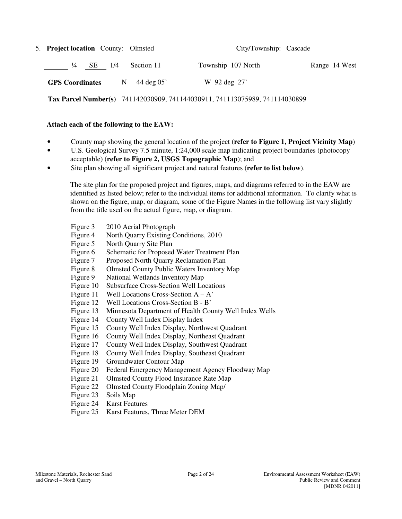| 5. Project location County: Olmsted |   |                      | City/Township: Cascade                                                      |               |
|-------------------------------------|---|----------------------|-----------------------------------------------------------------------------|---------------|
| $\frac{1}{4}$<br>SE 1/4             |   | Section 11           | Township 107 North                                                          | Range 14 West |
| <b>GPS</b> Coordinates              | N | $44 \text{ deg } 05$ | W 92 deg 27'                                                                |               |
|                                     |   |                      | Tax Parcel Number(s) 741142030909, 741144030911, 741113075989, 741114030899 |               |

#### **Attach each of the following to the EAW:**

- County map showing the general location of the project (**refer to Figure 1, Project Vicinity Map**)
- U.S. Geological Survey 7.5 minute, 1:24,000 scale map indicating project boundaries (photocopy acceptable) (**refer to Figure 2, USGS Topographic Map**); and
- Site plan showing all significant project and natural features (**refer to list below**).

The site plan for the proposed project and figures, maps, and diagrams referred to in the EAW are identified as listed below; refer to the individual items for additional information. To clarify what is shown on the figure, map, or diagram, some of the Figure Names in the following list vary slightly from the title used on the actual figure, map, or diagram.

- Figure 3 2010 Aerial Photograph
- Figure 4 North Quarry Existing Conditions, 2010
- Figure 5 North Quarry Site Plan
- Figure 6 Schematic for Proposed Water Treatment Plan
- Figure 7 Proposed North Quarry Reclamation Plan
- Figure 8 Olmsted County Public Waters Inventory Map
- Figure 9 National Wetlands Inventory Map
- Figure 10 Subsurface Cross-Section Well Locations
- Figure 11 Well Locations Cross-Section  $A A'$
- Figure 12 Well Locations Cross-Section B B'
- Figure 13 Minnesota Department of Health County Well Index Wells
- Figure 14 County Well Index Display Index
- Figure 15 County Well Index Display, Northwest Quadrant
- Figure 16 County Well Index Display, Northeast Quadrant
- Figure 17 County Well Index Display, Southwest Quadrant
- Figure 18 County Well Index Display, Southeast Quadrant
- Figure 19 Groundwater Contour Map
- Figure 20 Federal Emergency Management Agency Floodway Map
- Figure 21 Olmsted County Flood Insurance Rate Map
- Figure 22 Olmsted County Floodplain Zoning Map/
- Figure 23 Soils Map
- Figure 24 Karst Features
- Figure 25 Karst Features, Three Meter DEM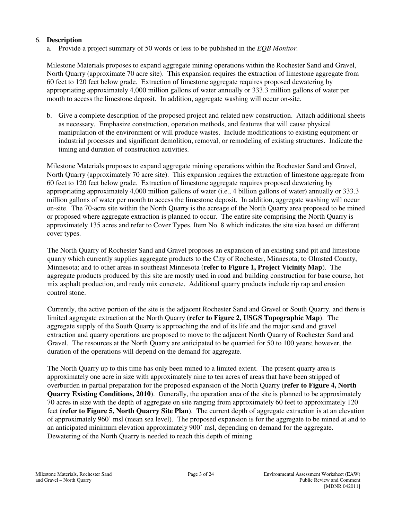## 6. **Description**

a. Provide a project summary of 50 words or less to be published in the *EQB Monitor.*

Milestone Materials proposes to expand aggregate mining operations within the Rochester Sand and Gravel, North Quarry (approximate 70 acre site). This expansion requires the extraction of limestone aggregate from 60 feet to 120 feet below grade. Extraction of limestone aggregate requires proposed dewatering by appropriating approximately 4,000 million gallons of water annually or 333.3 million gallons of water per month to access the limestone deposit. In addition, aggregate washing will occur on-site.

b. Give a complete description of the proposed project and related new construction. Attach additional sheets as necessary. Emphasize construction, operation methods, and features that will cause physical manipulation of the environment or will produce wastes. Include modifications to existing equipment or industrial processes and significant demolition, removal, or remodeling of existing structures. Indicate the timing and duration of construction activities.

Milestone Materials proposes to expand aggregate mining operations within the Rochester Sand and Gravel, North Quarry (approximately 70 acre site). This expansion requires the extraction of limestone aggregate from 60 feet to 120 feet below grade. Extraction of limestone aggregate requires proposed dewatering by appropriating approximately 4,000 million gallons of water (i.e., 4 billion gallons of water) annually or 333.3 million gallons of water per month to access the limestone deposit. In addition, aggregate washing will occur on-site. The 70-acre site within the North Quarry is the acreage of the North Quarry area proposed to be mined or proposed where aggregate extraction is planned to occur. The entire site comprising the North Quarry is approximately 135 acres and refer to Cover Types, Item No. 8 which indicates the site size based on different cover types.

The North Quarry of Rochester Sand and Gravel proposes an expansion of an existing sand pit and limestone quarry which currently supplies aggregate products to the City of Rochester, Minnesota; to Olmsted County, Minnesota; and to other areas in southeast Minnesota (**refer to Figure 1, Project Vicinity Map**). The aggregate products produced by this site are mostly used in road and building construction for base course, hot mix asphalt production, and ready mix concrete. Additional quarry products include rip rap and erosion control stone.

Currently, the active portion of the site is the adjacent Rochester Sand and Gravel or South Quarry, and there is limited aggregate extraction at the North Quarry (**refer to Figure 2, USGS Topographic Map**). The aggregate supply of the South Quarry is approaching the end of its life and the major sand and gravel extraction and quarry operations are proposed to move to the adjacent North Quarry of Rochester Sand and Gravel. The resources at the North Quarry are anticipated to be quarried for 50 to 100 years; however, the duration of the operations will depend on the demand for aggregate.

The North Quarry up to this time has only been mined to a limited extent. The present quarry area is approximately one acre in size with approximately nine to ten acres of areas that have been stripped of overburden in partial preparation for the proposed expansion of the North Quarry (**refer to Figure 4, North Quarry Existing Conditions, 2010**). Generally, the operation area of the site is planned to be approximately 70 acres in size with the depth of aggregate on site ranging from approximately 60 feet to approximately 120 feet (**refer to Figure 5, North Quarry Site Plan**). The current depth of aggregate extraction is at an elevation of approximately 960' msl (mean sea level). The proposed expansion is for the aggregate to be mined at and to an anticipated minimum elevation approximately 900' msl, depending on demand for the aggregate. Dewatering of the North Quarry is needed to reach this depth of mining.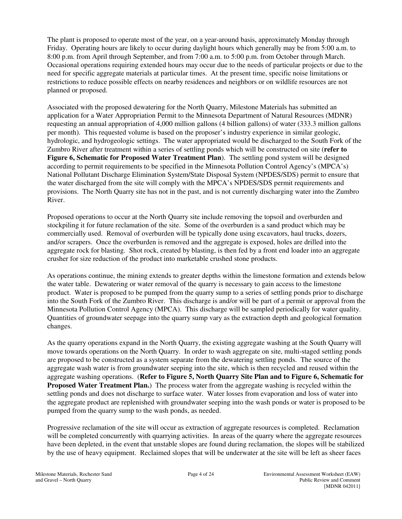The plant is proposed to operate most of the year, on a year-around basis, approximately Monday through Friday. Operating hours are likely to occur during daylight hours which generally may be from 5:00 a.m. to 8:00 p.m. from April through September, and from 7:00 a.m. to 5:00 p.m. from October through March. Occasional operations requiring extended hours may occur due to the needs of particular projects or due to the need for specific aggregate materials at particular times. At the present time, specific noise limitations or restrictions to reduce possible effects on nearby residences and neighbors or on wildlife resources are not planned or proposed.

Associated with the proposed dewatering for the North Quarry, Milestone Materials has submitted an application for a Water Appropriation Permit to the Minnesota Department of Natural Resources (MDNR) requesting an annual appropriation of 4,000 million gallons (4 billion gallons) of water (333.3 million gallons per month). This requested volume is based on the proposer's industry experience in similar geologic, hydrologic, and hydrogeologic settings. The water appropriated would be discharged to the South Fork of the Zumbro River after treatment within a series of settling ponds which will be constructed on site (**refer to Figure 6, Schematic for Proposed Water Treatment Plan**). The settling pond system will be designed according to permit requirements to be specified in the Minnesota Pollution Control Agency's (MPCA's) National Pollutant Discharge Elimination System/State Disposal System (NPDES/SDS) permit to ensure that the water discharged from the site will comply with the MPCA's NPDES/SDS permit requirements and provisions. The North Quarry site has not in the past, and is not currently discharging water into the Zumbro River.

Proposed operations to occur at the North Quarry site include removing the topsoil and overburden and stockpiling it for future reclamation of the site. Some of the overburden is a sand product which may be commercially used. Removal of overburden will be typically done using excavators, haul trucks, dozers, and/or scrapers. Once the overburden is removed and the aggregate is exposed, holes are drilled into the aggregate rock for blasting. Shot rock, created by blasting, is then fed by a front end loader into an aggregate crusher for size reduction of the product into marketable crushed stone products.

As operations continue, the mining extends to greater depths within the limestone formation and extends below the water table. Dewatering or water removal of the quarry is necessary to gain access to the limestone product. Water is proposed to be pumped from the quarry sump to a series of settling ponds prior to discharge into the South Fork of the Zumbro River. This discharge is and/or will be part of a permit or approval from the Minnesota Pollution Control Agency (MPCA). This discharge will be sampled periodically for water quality. Quantities of groundwater seepage into the quarry sump vary as the extraction depth and geological formation changes.

As the quarry operations expand in the North Quarry, the existing aggregate washing at the South Quarry will move towards operations on the North Quarry. In order to wash aggregate on site, multi-staged settling ponds are proposed to be constructed as a system separate from the dewatering settling ponds. The source of the aggregate wash water is from groundwater seeping into the site, which is then recycled and reused within the aggregate washing operations. (**Refer to Figure 5, North Quarry Site Plan and to Figure 6, Schematic for Proposed Water Treatment Plan.**) The process water from the aggregate washing is recycled within the settling ponds and does not discharge to surface water. Water losses from evaporation and loss of water into the aggregate product are replenished with groundwater seeping into the wash ponds or water is proposed to be pumped from the quarry sump to the wash ponds, as needed.

Progressive reclamation of the site will occur as extraction of aggregate resources is completed. Reclamation will be completed concurrently with quarrying activities. In areas of the quarry where the aggregate resources have been depleted, in the event that unstable slopes are found during reclamation, the slopes will be stabilized by the use of heavy equipment. Reclaimed slopes that will be underwater at the site will be left as sheer faces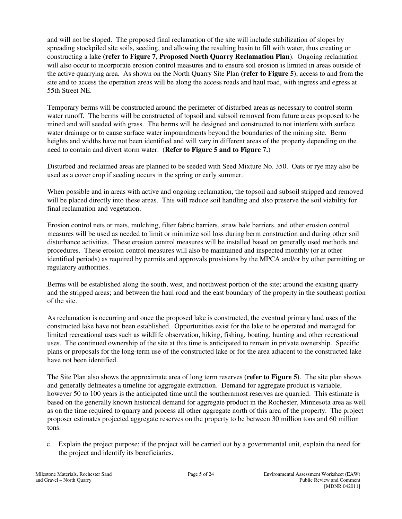and will not be sloped. The proposed final reclamation of the site will include stabilization of slopes by spreading stockpiled site soils, seeding, and allowing the resulting basin to fill with water, thus creating or constructing a lake (**refer to Figure 7, Proposed North Quarry Reclamation Plan**). Ongoing reclamation will also occur to incorporate erosion control measures and to ensure soil erosion is limited in areas outside of the active quarrying area. As shown on the North Quarry Site Plan (**refer to Figure 5**), access to and from the site and to access the operation areas will be along the access roads and haul road, with ingress and egress at 55th Street NE.

Temporary berms will be constructed around the perimeter of disturbed areas as necessary to control storm water runoff. The berms will be constructed of topsoil and subsoil removed from future areas proposed to be mined and will seeded with grass. The berms will be designed and constructed to not interfere with surface water drainage or to cause surface water impoundments beyond the boundaries of the mining site. Berm heights and widths have not been identified and will vary in different areas of the property depending on the need to contain and divert storm water. (**Refer to Figure 5 and to Figure 7.**)

Disturbed and reclaimed areas are planned to be seeded with Seed Mixture No. 350. Oats or rye may also be used as a cover crop if seeding occurs in the spring or early summer.

When possible and in areas with active and ongoing reclamation, the topsoil and subsoil stripped and removed will be placed directly into these areas. This will reduce soil handling and also preserve the soil viability for final reclamation and vegetation.

Erosion control nets or mats, mulching, filter fabric barriers, straw bale barriers, and other erosion control measures will be used as needed to limit or minimize soil loss during berm construction and during other soil disturbance activities. These erosion control measures will be installed based on generally used methods and procedures. These erosion control measures will also be maintained and inspected monthly (or at other identified periods) as required by permits and approvals provisions by the MPCA and/or by other permitting or regulatory authorities.

Berms will be established along the south, west, and northwest portion of the site; around the existing quarry and the stripped areas; and between the haul road and the east boundary of the property in the southeast portion of the site.

As reclamation is occurring and once the proposed lake is constructed, the eventual primary land uses of the constructed lake have not been established. Opportunities exist for the lake to be operated and managed for limited recreational uses such as wildlife observation, hiking, fishing, boating, hunting and other recreational uses. The continued ownership of the site at this time is anticipated to remain in private ownership. Specific plans or proposals for the long-term use of the constructed lake or for the area adjacent to the constructed lake have not been identified.

The Site Plan also shows the approximate area of long term reserves **(refer to Figure 5)**. The site plan shows and generally delineates a timeline for aggregate extraction. Demand for aggregate product is variable, however 50 to 100 years is the anticipated time until the southernmost reserves are quarried. This estimate is based on the generally known historical demand for aggregate product in the Rochester, Minnesota area as well as on the time required to quarry and process all other aggregate north of this area of the property. The project proposer estimates projected aggregate reserves on the property to be between 30 million tons and 60 million tons.

c. Explain the project purpose; if the project will be carried out by a governmental unit, explain the need for the project and identify its beneficiaries.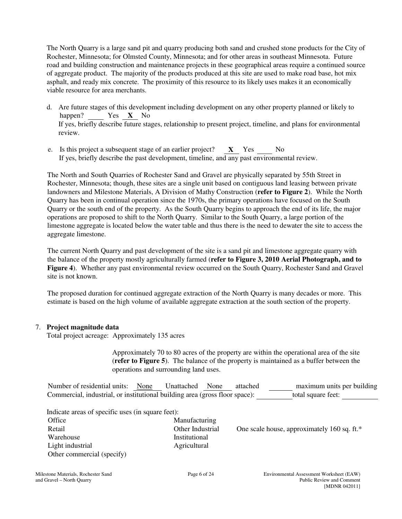The North Quarry is a large sand pit and quarry producing both sand and crushed stone products for the City of Rochester, Minnesota; for Olmsted County, Minnesota; and for other areas in southeast Minnesota. Future road and building construction and maintenance projects in these geographical areas require a continued source of aggregate product. The majority of the products produced at this site are used to make road base, hot mix asphalt, and ready mix concrete. The proximity of this resource to its likely uses makes it an economically viable resource for area merchants.

- d. Are future stages of this development including development on any other property planned or likely to happen? Yes **X** No If yes, briefly describe future stages, relationship to present project, timeline, and plans for environmental review.
- e. Is this project a subsequent stage of an earlier project? **X** Yes No If yes, briefly describe the past development, timeline, and any past environmental review.

The North and South Quarries of Rochester Sand and Gravel are physically separated by 55th Street in Rochester, Minnesota; though, these sites are a single unit based on contiguous land leasing between private landowners and Milestone Materials, A Division of Mathy Construction (**refer to Figure 2**). While the North Quarry has been in continual operation since the 1970s, the primary operations have focused on the South Quarry or the south end of the property. As the South Quarry begins to approach the end of its life, the major operations are proposed to shift to the North Quarry. Similar to the South Quarry, a large portion of the limestone aggregate is located below the water table and thus there is the need to dewater the site to access the aggregate limestone.

The current North Quarry and past development of the site is a sand pit and limestone aggregate quarry with the balance of the property mostly agriculturally farmed (**refer to Figure 3, 2010 Aerial Photograph, and to Figure 4**). Whether any past environmental review occurred on the South Quarry, Rochester Sand and Gravel site is not known.

The proposed duration for continued aggregate extraction of the North Quarry is many decades or more. This estimate is based on the high volume of available aggregate extraction at the south section of the property.

### 7. **Project magnitude data**

Total project acreage: Approximately 135 acres

 Approximately 70 to 80 acres of the property are within the operational area of the site (**refer to Figure 5**). The balance of the property is maintained as a buffer between the operations and surrounding land uses.

Number of residential units: <u>None</u> Unattached None attached \_\_\_\_\_\_\_ maximum units per building Commercial, industrial, or institutional building area (gross floor space): total square feet:

Indicate areas of specific uses (in square feet):

| Office                     | Manufacturii  |
|----------------------------|---------------|
| Retail                     | Other Indust  |
| Warehouse                  | Institutional |
| Light industrial           | Agricultural  |
| Other commercial (specify) |               |
|                            |               |

| Retail                     | Other Industrial | One scale house, approximately 160 sq. ft.* |
|----------------------------|------------------|---------------------------------------------|
| Warehouse                  | Institutional    |                                             |
| Light industrial           | Agricultural     |                                             |
| Other commercial (specify) |                  |                                             |

Manufacturing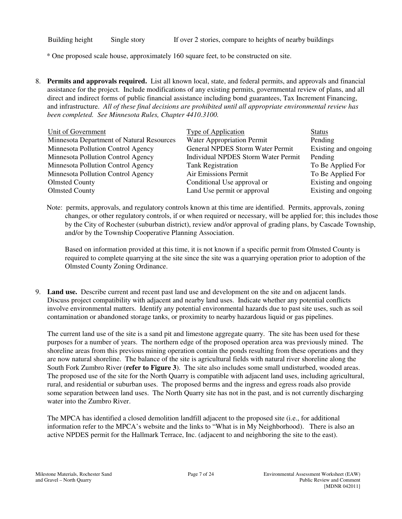Building height Single story If over 2 stories, compare to heights of nearby buildings

\* One proposed scale house, approximately 160 square feet, to be constructed on site.

8. **Permits and approvals required.** List all known local, state, and federal permits, and approvals and financial assistance for the project. Include modifications of any existing permits, governmental review of plans, and all direct and indirect forms of public financial assistance including bond guarantees, Tax Increment Financing, and infrastructure. *All of these final decisions are prohibited until all appropriate environmental review has been completed. See Minnesota Rules, Chapter 4410.3100.*

| Unit of Government                        | <b>Type of Application</b>                 | <b>Status</b>        |
|-------------------------------------------|--------------------------------------------|----------------------|
| Minnesota Department of Natural Resources | <b>Water Appropriation Permit</b>          | Pending              |
| Minnesota Pollution Control Agency        | General NPDES Storm Water Permit           | Existing and ongoing |
| Minnesota Pollution Control Agency        | <b>Individual NPDES Storm Water Permit</b> | Pending              |
| Minnesota Pollution Control Agency        | <b>Tank Registration</b>                   | To Be Applied For    |
| Minnesota Pollution Control Agency        | Air Emissions Permit                       | To Be Applied For    |
| <b>Olmsted County</b>                     | Conditional Use approval or                | Existing and ongoing |
| <b>Olmsted County</b>                     | Land Use permit or approval                | Existing and ongoing |

Note: permits, approvals, and regulatory controls known at this time are identified. Permits, approvals, zoning changes, or other regulatory controls, if or when required or necessary, will be applied for; this includes those by the City of Rochester (suburban district), review and/or approval of grading plans, by Cascade Township, and/or by the Township Cooperative Planning Association.

 Based on information provided at this time, it is not known if a specific permit from Olmsted County is required to complete quarrying at the site since the site was a quarrying operation prior to adoption of the Olmsted County Zoning Ordinance.

9. **Land use.** Describe current and recent past land use and development on the site and on adjacent lands. Discuss project compatibility with adjacent and nearby land uses. Indicate whether any potential conflicts involve environmental matters. Identify any potential environmental hazards due to past site uses, such as soil contamination or abandoned storage tanks, or proximity to nearby hazardous liquid or gas pipelines.

The current land use of the site is a sand pit and limestone aggregate quarry. The site has been used for these purposes for a number of years. The northern edge of the proposed operation area was previously mined. The shoreline areas from this previous mining operation contain the ponds resulting from these operations and they are now natural shoreline. The balance of the site is agricultural fields with natural river shoreline along the South Fork Zumbro River (**refer to Figure 3**). The site also includes some small undisturbed, wooded areas. The proposed use of the site for the North Quarry is compatible with adjacent land uses, including agricultural, rural, and residential or suburban uses. The proposed berms and the ingress and egress roads also provide some separation between land uses. The North Quarry site has not in the past, and is not currently discharging water into the Zumbro River.

The MPCA has identified a closed demolition landfill adjacent to the proposed site (i.e., for additional information refer to the MPCA's website and the links to "What is in My Neighborhood). There is also an active NPDES permit for the Hallmark Terrace, Inc. (adjacent to and neighboring the site to the east).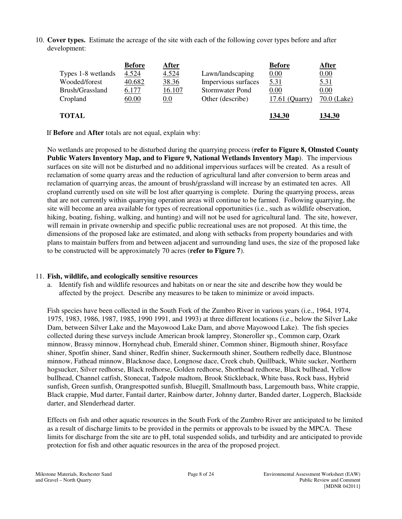10. **Cover types.** Estimate the acreage of the site with each of the following cover types before and after development:

| Types 1-8 wetlands<br>Wooded/forest<br>Brush/Grassland | <b>Before</b><br>4.524<br>40.682 | <u>After</u><br>4.524<br>38.36<br>16.107 | Lawn/landscaping<br>Impervious surfaces<br><b>Stormwater Pond</b> | <b>Before</b><br>0.00<br><u>5.31</u> | <u>After</u><br>0.00<br><u>5.31</u> |
|--------------------------------------------------------|----------------------------------|------------------------------------------|-------------------------------------------------------------------|--------------------------------------|-------------------------------------|
| Cropland<br><b>TOTAL</b>                               | 6.177<br>60.00                   | 0.0                                      | Other (describe)                                                  | 0.00<br>17.61 (Quarry)<br>134.30     | 0.00<br>$70.0$ (Lake)<br>134.30     |

If **Before** and **After** totals are not equal, explain why:

No wetlands are proposed to be disturbed during the quarrying process (**refer to Figure 8, Olmsted County Public Waters Inventory Map, and to Figure 9, National Wetlands Inventory Map**). The impervious surfaces on site will not be disturbed and no additional impervious surfaces will be created. As a result of reclamation of some quarry areas and the reduction of agricultural land after conversion to berm areas and reclamation of quarrying areas, the amount of brush/grassland will increase by an estimated ten acres. All cropland currently used on site will be lost after quarrying is complete. During the quarrying process, areas that are not currently within quarrying operation areas will continue to be farmed. Following quarrying, the site will become an area available for types of recreational opportunities (i.e., such as wildlife observation, hiking, boating, fishing, walking, and hunting) and will not be used for agricultural land. The site, however, will remain in private ownership and specific public recreational uses are not proposed. At this time, the dimensions of the proposed lake are estimated, and along with setbacks from property boundaries and with plans to maintain buffers from and between adjacent and surrounding land uses, the size of the proposed lake to be constructed will be approximately 70 acres (**refer to Figure 7**).

# 11. **Fish, wildlife, and ecologically sensitive resources**

a. Identify fish and wildlife resources and habitats on or near the site and describe how they would be affected by the project. Describe any measures to be taken to minimize or avoid impacts.

Fish species have been collected in the South Fork of the Zumbro River in various years (i.e., 1964, 1974, 1975, 1983, 1986, 1987, 1985, 1990 1991, and 1993) at three different locations (i.e., below the Silver Lake Dam, between Silver Lake and the Mayowood Lake Dam, and above Mayowood Lake). The fish species collected during these surveys include American brook lamprey, Stoneroller sp., Common carp, Ozark minnow, Brassy minnow, Hornyhead chub, Emerald shiner, Common shiner, Bigmouth shiner, Rosyface shiner, Spotfin shiner, Sand shiner, Redfin shiner, Suckermouth shiner, Southern redbelly dace, Bluntnose minnow, Fathead minnow, Blacknose dace, Longnose dace, Creek chub, Quillback, White sucker, Northern hogsucker, Silver redhorse, Black redhorse, Golden redhorse, Shorthead redhorse, Black bullhead, Yellow bullhead, Channel catfish, Stonecat, Tadpole madtom, Brook Stickleback, White bass, Rock bass, Hybrid sunfish, Green sunfish, Orangrespotted sunfish, Bluegill, Smallmouth bass, Largemouth bass, White crappie, Black crappie, Mud darter, Fantail darter, Rainbow darter, Johnny darter, Banded darter, Logperch, Blackside darter, and Slenderhead darter.

Effects on fish and other aquatic resources in the South Fork of the Zumbro River are anticipated to be limited as a result of discharge limits to be provided in the permits or approvals to be issued by the MPCA. These limits for discharge from the site are to pH, total suspended solids, and turbidity and are anticipated to provide protection for fish and other aquatic resources in the area of the proposed project.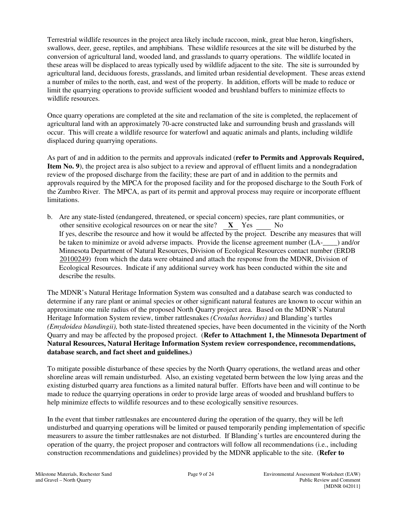Terrestrial wildlife resources in the project area likely include raccoon, mink, great blue heron, kingfishers, swallows, deer, geese, reptiles, and amphibians*.* These wildlife resources at the site will be disturbed by the conversion of agricultural land, wooded land, and grasslands to quarry operations. The wildlife located in these areas will be displaced to areas typically used by wildlife adjacent to the site. The site is surrounded by agricultural land, deciduous forests, grasslands, and limited urban residential development. These areas extend a number of miles to the north, east, and west of the property. In addition, efforts will be made to reduce or limit the quarrying operations to provide sufficient wooded and brushland buffers to minimize effects to wildlife resources.

Once quarry operations are completed at the site and reclamation of the site is completed, the replacement of agricultural land with an approximately 70-acre constructed lake and surrounding brush and grasslands will occur. This will create a wildlife resource for waterfowl and aquatic animals and plants, including wildlife displaced during quarrying operations.

As part of and in addition to the permits and approvals indicated (**refer to Permits and Approvals Required, Item No. 9**), the project area is also subject to a review and approval of effluent limits and a nondegradation review of the proposed discharge from the facility; these are part of and in addition to the permits and approvals required by the MPCA for the proposed facility and for the proposed discharge to the South Fork of the Zumbro River. The MPCA, as part of its permit and approval process may require or incorporate effluent limitations.

b. Are any state-listed (endangered, threatened, or special concern) species, rare plant communities, or other sensitive ecological resources on or near the site? **X** Yes No If yes, describe the resource and how it would be affected by the project. Describe any measures that will be taken to minimize or avoid adverse impacts. Provide the license agreement number (LA- ) and/or Minnesota Department of Natural Resources, Division of Ecological Resources contact number (ERDB 20100249) from which the data were obtained and attach the response from the MDNR, Division of Ecological Resources. Indicate if any additional survey work has been conducted within the site and describe the results.

The MDNR's Natural Heritage Information System was consulted and a database search was conducted to determine if any rare plant or animal species or other significant natural features are known to occur within an approximate one mile radius of the proposed North Quarry project area. Based on the MDNR's Natural Heritage Information System review, timber rattlesnakes *(Crotalus horridus)* and Blanding's turtles *(Emydoidea blandingii),* both state-listed threatened species, have been documented in the vicinity of the North Quarry and may be affected by the proposed project. (**Refer to Attachment 1, the Minnesota Department of Natural Resources, Natural Heritage Information System review correspondence, recommendations, database search, and fact sheet and guidelines.)**

To mitigate possible disturbance of these species by the North Quarry operations, the wetland areas and other shoreline areas will remain undisturbed. Also, an existing vegetated berm between the low lying areas and the existing disturbed quarry area functions as a limited natural buffer. Efforts have been and will continue to be made to reduce the quarrying operations in order to provide large areas of wooded and brushland buffers to help minimize effects to wildlife resources and to these ecologically sensitive resources.

In the event that timber rattlesnakes are encountered during the operation of the quarry, they will be left undisturbed and quarrying operations will be limited or paused temporarily pending implementation of specific measurers to assure the timber rattlesnakes are not disturbed. If Blanding's turtles are encountered during the operation of the quarry, the project proposer and contractors will follow all recommendations (i.e., including construction recommendations and guidelines) provided by the MDNR applicable to the site. (**Refer to**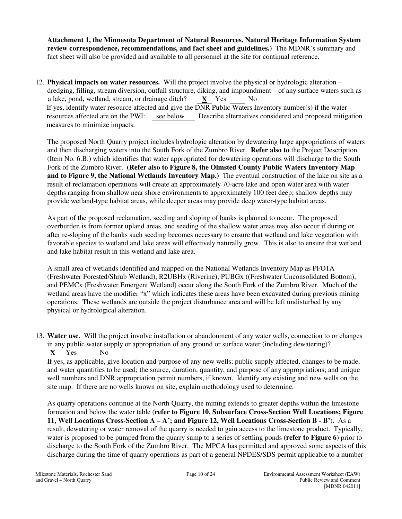**Attachment 1, the Minnesota Department of Natural Resources, Natural Heritage Information System review correspondence, recommendations, and fact sheet and guidelines.)** The MDNR's summary and fact sheet will also be provided and available to all personnel at the site for continual reference.

12. **Physical impacts on water resources.** Will the project involve the physical or hydrologic alteration – dredging, filling, stream diversion, outfall structure, diking, and impoundment – of any surface waters such as a lake, pond, wetland, stream, or drainage ditch? **X** Yes No If yes, identify water resource affected and give the DNR Public Waters Inventory number(s) if the water resources affected are on the PWI: see below Describe alternatives considered and proposed mitigation measures to minimize impacts.

The proposed North Quarry project includes hydrologic alteration by dewatering large appropriations of waters and then discharging waters into the South Fork of the Zumbro River. **Refer also to** the Project Description (Item No. 6.B.) which identifies that water appropriated for dewatering operations will discharge to the South Fork of the Zumbro River. **(Refer also to Figure 8, the Olmsted County Public Waters Inventory Map and to Figure 9, the National Wetlands Inventory Map.)** The eventual construction of the lake on site as a result of reclamation operations will create an approximately 70-acre lake and open water area with water depths ranging from shallow near shore environments to approximately 100 feet deep; shallow depths may provide wetland-type habitat areas, while deeper areas may provide deep water-type habitat areas.

As part of the proposed reclamation, seeding and sloping of banks is planned to occur. The proposed overburden is from former upland areas, and seeding of the shallow water areas may also occur if during or after re-sloping of the banks such seeding becomes necessary to ensure that wetland and lake vegetation with favorable species to wetland and lake areas will effectively naturally grow. This is also to ensure that wetland and lake habitat result in this wetland and lake area.

A small area of wetlands identified and mapped on the National Wetlands Inventory Map as PFO1A (Freshwater Forested/Shrub Wetland), R2UBHx (Riverine), PUBGx ((Freshwater Unconsolidated Bottom), and PEMCx (Freshwater Emergent Wetland) occur along the South Fork of the Zumbro River. Much of the wetland areas have the modifier "x" which indicates these areas have been excavated during previous mining operations. These wetlands are outside the project disturbance area and will be left undisturbed by any physical or hydrological alteration.

13. **Water use.** Will the project involve installation or abandonment of any water wells, connection to or changes in any public water supply or appropriation of any ground or surface water (including dewatering)? **X** Yes No

If yes, as applicable, give location and purpose of any new wells; public supply affected, changes to be made, and water quantities to be used; the source, duration, quantity, and purpose of any appropriations; and unique well numbers and DNR appropriation permit numbers, if known. Identify any existing and new wells on the site map. If there are no wells known on site, explain methodology used to determine.

As quarry operations continue at the North Quarry, the mining extends to greater depths within the limestone formation and below the water table (**refer to Figure 10, Subsurface Cross-Section Well Locations; Figure 11, Well Locations Cross-Section A – A'; and Figure 12, Well Locations Cross-Section B - B'**). As a result, dewatering or water removal of the quarry is needed to gain access to the limestone product. Typically, water is proposed to be pumped from the quarry sump to a series of settling ponds (**refer to Figure 6**) prior to discharge to the South Fork of the Zumbro River. The MPCA has permitted and approved some aspects of this discharge during the time of quarry operations as part of a general NPDES/SDS permit applicable to a number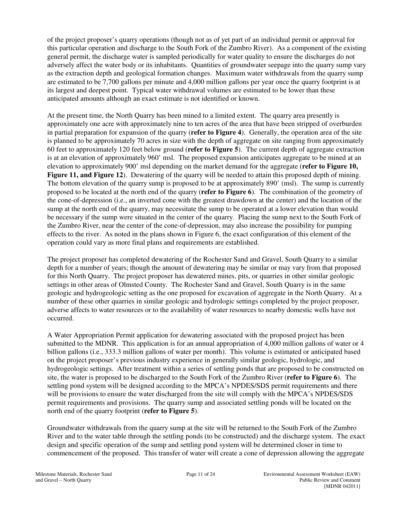of the project proposer's quarry operations (though not as of yet part of an individual permit or approval for this particular operation and discharge to the South Fork of the Zumbro River). As a component of the existing general permit, the discharge water is sampled periodically for water quality to ensure the discharges do not adversely affect the water body or its inhabitants. Quantities of groundwater seepage into the quarry sump vary as the extraction depth and geological formation changes. Maximum water withdrawals from the quarry sump are estimated to be 7,700 gallons per minute and 4,000 million gallons per year once the quarry footprint is at its largest and deepest point. Typical water withdrawal volumes are estimated to be lower than these anticipated amounts although an exact estimate is not identified or known.

At the present time, the North Quarry has been mined to a limited extent. The quarry area presently is approximately one acre with approximately nine to ten acres of the area that have been stripped of overburden in partial preparation for expansion of the quarry (**refer to Figure 4**). Generally, the operation area of the site is planned to be approximately 70 acres in size with the depth of aggregate on site ranging from approximately 60 feet to approximately 120 feet below ground (**refer to Figure 5**). The current depth of aggregate extraction is at an elevation of approximately 960' msl. The proposed expansion anticipates aggregate to be mined at an elevation to approximately 900' msl depending on the market demand for the aggregate (**refer to Figure 10, Figure 11, and Figure 12**). Dewatering of the quarry will be needed to attain this proposed depth of mining. The bottom elevation of the quarry sump is proposed to be at approximately 890' (msl). The sump is currently proposed to be located at the north end of the quarry (**refer to Figure 6**). The combination of the geometry of the cone-of-depression (i.e., an inverted cone with the greatest drawdown at the center) and the location of the sump at the north end of the quarry, may necessitate the sump to be operated at a lower elevation than would be necessary if the sump were situated in the center of the quarry. Placing the sump next to the South Fork of the Zumbro River, near the center of the cone-of-depression, may also increase the possibility for pumping effects to the river. As noted in the plans shown in Figure 6, the exact configuration of this element of the operation could vary as more final plans and requirements are established.

The project proposer has completed dewatering of the Rochester Sand and Gravel, South Quarry to a similar depth for a number of years; though the amount of dewatering may be similar or may vary from that proposed for this North Quarry. The project proposer has dewatered mines, pits, or quarries in other similar geologic settings in other areas of Olmsted County. The Rochester Sand and Gravel, South Quarry is in the same geologic and hydrogeologic setting as the one proposed for excavation of aggregate in the North Quarry. At a number of these other quarries in similar geologic and hydrologic settings completed by the project proposer, adverse affects to water resources or to the availability of water resources to nearby domestic wells have not occurred.

A Water Appropriation Permit application for dewatering associated with the proposed project has been submitted to the MDNR. This application is for an annual appropriation of 4,000 million gallons of water or 4 billion gallons (i.e., 333.3 million gallons of water per month). This volume is estimated or anticipated based on the project proposer's previous industry experience in generally similar geologic, hydrologic, and hydrogeologic settings. After treatment within a series of settling ponds that are proposed to be constructed on site, the water is proposed to be discharged to the South Fork of the Zumbro River (**refer to Figure 6**). The settling pond system will be designed according to the MPCA's NPDES/SDS permit requirements and there will be provisions to ensure the water discharged from the site will comply with the MPCA's NPDES/SDS permit requirements and provisions. The quarry sump and associated settling ponds will be located on the north end of the quarry footprint (**refer to Figure 5**).

Groundwater withdrawals from the quarry sump at the site will be returned to the South Fork of the Zumbro River and to the water table through the settling ponds (to be constructed) and the discharge system. The exact design and specific operation of the sump and settling pond system will be determined closer in time to commencement of the proposed. This transfer of water will create a cone of depression allowing the aggregate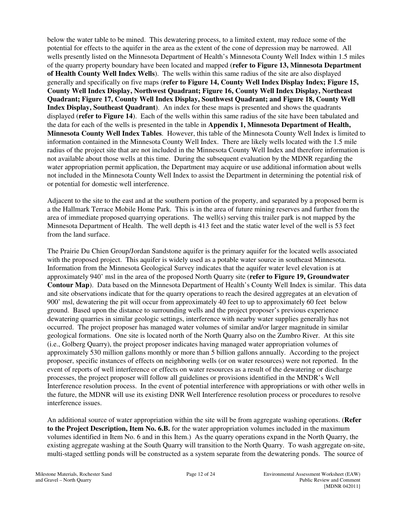below the water table to be mined. This dewatering process, to a limited extent, may reduce some of the potential for effects to the aquifer in the area as the extent of the cone of depression may be narrowed. All wells presently listed on the Minnesota Department of Health's Minnesota County Well Index within 1.5 miles of the quarry property boundary have been located and mapped (**refer to Figure 13, Minnesota Department of Health County Well Index Wells**). The wells within this same radius of the site are also displayed generally and specifically on five maps (**refer to Figure 14, County Well Index Display Index; Figure 15, County Well Index Display, Northwest Quadrant; Figure 16, County Well Index Display, Northeast Quadrant; Figure 17, County Well Index Display, Southwest Quadrant; and Figure 18, County Well Index Display, Southeast Quadrant**). An index for these maps is presented and shows the quadrants displayed (**refer to Figure 14**). Each of the wells within this same radius of the site have been tabulated and the data for each of the wells is presented in the table in **Appendix 1, Minnesota Department of Health, Minnesota County Well Index Tables**. However, this table of the Minnesota County Well Index is limited to information contained in the Minnesota County Well Index. There are likely wells located with the 1.5 mile radius of the project site that are not included in the Minnesota County Well Index and therefore information is not available about those wells at this time. During the subsequent evaluation by the MDNR regarding the water appropriation permit application, the Department may acquire or use additional information about wells not included in the Minnesota County Well Index to assist the Department in determining the potential risk of or potential for domestic well interference.

Adjacent to the site to the east and at the southern portion of the property, and separated by a proposed berm is a the Hallmark Terrace Mobile Home Park. This is in the area of future mining reserves and further from the area of immediate proposed quarrying operations. The well(s) serving this trailer park is not mapped by the Minnesota Department of Health. The well depth is 413 feet and the static water level of the well is 53 feet from the land surface.

The Prairie Du Chien Group/Jordan Sandstone aquifer is the primary aquifer for the located wells associated with the proposed project. This aquifer is widely used as a potable water source in southeast Minnesota. Information from the Minnesota Geological Survey indicates that the aquifer water level elevation is at approximately 940' msl in the area of the proposed North Quarry site (**refer to Figure 19, Groundwater Contour Map**). Data based on the Minnesota Department of Health's County Well Index is similar. This data and site observations indicate that for the quarry operations to reach the desired aggregates at an elevation of 900' msl, dewatering the pit will occur from approximately 40 feet to up to approximately 60 feet below ground. Based upon the distance to surrounding wells and the project proposer's previous experience dewatering quarries in similar geologic settings, interference with nearby water supplies generally has not occurred. The project proposer has managed water volumes of similar and/or larger magnitude in similar geological formations. One site is located north of the North Quarry also on the Zumbro River. At this site (i.e., Golberg Quarry), the project proposer indicates having managed water appropriation volumes of approximately 530 million gallons monthly or more than 5 billion gallons annually. According to the project proposer, specific instances of effects on neighboring wells (or on water resources) were not reported. In the event of reports of well interference or effects on water resources as a result of the dewatering or discharge processes, the project proposer will follow all guidelines or provisions identified in the MNDR's Well Interference resolution process. In the event of potential interference with appropriations or with other wells in the future, the MDNR will use its existing DNR Well Interference resolution process or procedures to resolve interference issues.

An additional source of water appropriation within the site will be from aggregate washing operations. (**Refer to the Project Description, Item No. 6.B.** for the water appropriation volumes included in the maximum volumes identified in Item No. 6 and in this Item.) As the quarry operations expand in the North Quarry, the existing aggregate washing at the South Quarry will transition to the North Quarry. To wash aggregate on-site, multi-staged settling ponds will be constructed as a system separate from the dewatering ponds. The source of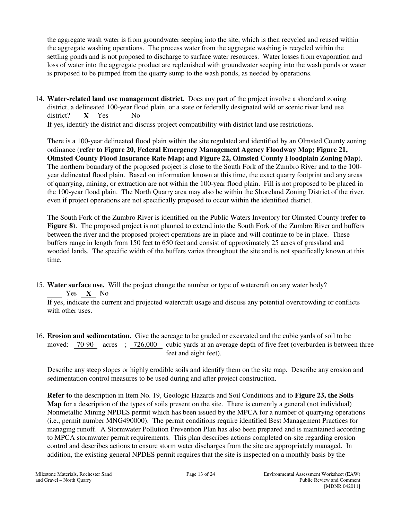the aggregate wash water is from groundwater seeping into the site, which is then recycled and reused within the aggregate washing operations. The process water from the aggregate washing is recycled within the settling ponds and is not proposed to discharge to surface water resources. Water losses from evaporation and loss of water into the aggregate product are replenished with groundwater seeping into the wash ponds or water is proposed to be pumped from the quarry sump to the wash ponds, as needed by operations.

14. **Water-related land use management district.** Does any part of the project involve a shoreland zoning district, a delineated 100-year flood plain, or a state or federally designated wild or scenic river land use district? **X** Yes No

If yes, identify the district and discuss project compatibility with district land use restrictions.

There is a 100-year delineated flood plain within the site regulated and identified by an Olmsted County zoning ordinance (**refer to Figure 20, Federal Emergency Management Agency Floodway Map; Figure 21, Olmsted County Flood Insurance Rate Map; and Figure 22, Olmsted County Floodplain Zoning Map**). The northern boundary of the proposed project is close to the South Fork of the Zumbro River and to the 100 year delineated flood plain. Based on information known at this time, the exact quarry footprint and any areas of quarrying, mining, or extraction are not within the 100-year flood plain. Fill is not proposed to be placed in the 100-year flood plain. The North Quarry area may also be within the Shoreland Zoning District of the river, even if project operations are not specifically proposed to occur within the identified district.

The South Fork of the Zumbro River is identified on the Public Waters Inventory for Olmsted County (**refer to Figure 8**). The proposed project is not planned to extend into the South Fork of the Zumbro River and buffers between the river and the proposed project operations are in place and will continue to be in place. These buffers range in length from 150 feet to 650 feet and consist of approximately 25 acres of grassland and wooded lands. The specific width of the buffers varies throughout the site and is not specifically known at this time.

15. **Water surface use.** Will the project change the number or type of watercraft on any water body? Yes **X** No

If yes, indicate the current and projected watercraft usage and discuss any potential overcrowding or conflicts with other uses.

16. **Erosion and sedimentation.** Give the acreage to be graded or excavated and the cubic yards of soil to be moved: 70-90 acres ; 726,000 cubic yards at an average depth of five feet (overburden is between three feet and eight feet).

Describe any steep slopes or highly erodible soils and identify them on the site map. Describe any erosion and sedimentation control measures to be used during and after project construction.

**Refer to** the description in Item No. 19, Geologic Hazards and Soil Conditions and to **Figure 23, the Soils Map** for a description of the types of soils present on the site. There is currently a general (not individual) Nonmetallic Mining NPDES permit which has been issued by the MPCA for a number of quarrying operations (i.e., permit number MNG490000). The permit conditions require identified Best Management Practices for managing runoff. A Stormwater Pollution Prevention Plan has also been prepared and is maintained according to MPCA stormwater permit requirements. This plan describes actions completed on-site regarding erosion control and describes actions to ensure storm water discharges from the site are appropriately managed. In addition, the existing general NPDES permit requires that the site is inspected on a monthly basis by the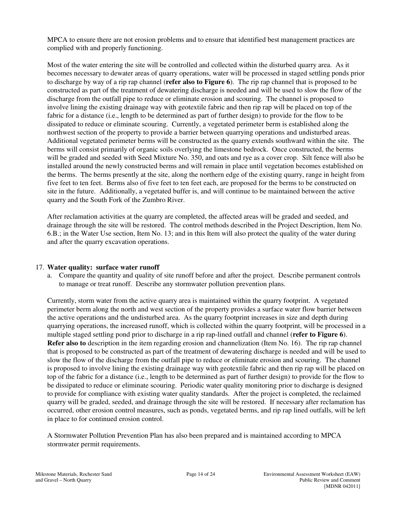MPCA to ensure there are not erosion problems and to ensure that identified best management practices are complied with and properly functioning.

Most of the water entering the site will be controlled and collected within the disturbed quarry area. As it becomes necessary to dewater areas of quarry operations, water will be processed in staged settling ponds prior to discharge by way of a rip rap channel (**refer also to Figure 6**). The rip rap channel that is proposed to be constructed as part of the treatment of dewatering discharge is needed and will be used to slow the flow of the discharge from the outfall pipe to reduce or eliminate erosion and scouring. The channel is proposed to involve lining the existing drainage way with geotextile fabric and then rip rap will be placed on top of the fabric for a distance (i.e., length to be determined as part of further design) to provide for the flow to be dissipated to reduce or eliminate scouring. Currently, a vegetated perimeter berm is established along the northwest section of the property to provide a barrier between quarrying operations and undisturbed areas. Additional vegetated perimeter berms will be constructed as the quarry extends southward within the site. The berms will consist primarily of organic soils overlying the limestone bedrock. Once constructed, the berms will be graded and seeded with Seed Mixture No. 350, and oats and rye as a cover crop. Silt fence will also be installed around the newly constructed berms and will remain in place until vegetation becomes established on the berms. The berms presently at the site, along the northern edge of the existing quarry, range in height from five feet to ten feet. Berms also of five feet to ten feet each, are proposed for the berms to be constructed on site in the future. Additionally, a vegetated buffer is, and will continue to be maintained between the active quarry and the South Fork of the Zumbro River.

After reclamation activities at the quarry are completed, the affected areas will be graded and seeded, and drainage through the site will be restored. The control methods described in the Project Description, Item No. 6.B.; in the Water Use section, Item No. 13; and in this Item will also protect the quality of the water during and after the quarry excavation operations.

# 17. **Water quality: surface water runoff**

a. Compare the quantity and quality of site runoff before and after the project. Describe permanent controls to manage or treat runoff. Describe any stormwater pollution prevention plans.

Currently, storm water from the active quarry area is maintained within the quarry footprint. A vegetated perimeter berm along the north and west section of the property provides a surface water flow barrier between the active operations and the undisturbed area. As the quarry footprint increases in size and depth during quarrying operations, the increased runoff, which is collected within the quarry footprint, will be processed in a multiple staged settling pond prior to discharge in a rip rap-lined outfall and channel (**refer to Figure 6**). **Refer also to** description in the item regarding erosion and channelization (Item No. 16). The rip rap channel that is proposed to be constructed as part of the treatment of dewatering discharge is needed and will be used to slow the flow of the discharge from the outfall pipe to reduce or eliminate erosion and scouring. The channel is proposed to involve lining the existing drainage way with geotextile fabric and then rip rap will be placed on top of the fabric for a distance (i.e., length to be determined as part of further design) to provide for the flow to be dissipated to reduce or eliminate scouring. Periodic water quality monitoring prior to discharge is designed to provide for compliance with existing water quality standards. After the project is completed, the reclaimed quarry will be graded, seeded, and drainage through the site will be restored. If necessary after reclamation has occurred, other erosion control measures, such as ponds, vegetated berms, and rip rap lined outfalls, will be left in place to for continued erosion control.

A Stormwater Pollution Prevention Plan has also been prepared and is maintained according to MPCA stormwater permit requirements.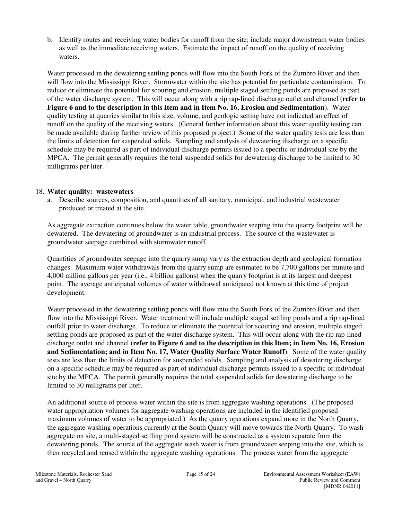b. Identify routes and receiving water bodies for runoff from the site; include major downstream water bodies as well as the immediate receiving waters. Estimate the impact of runoff on the quality of receiving waters.

Water processed in the dewatering settling ponds will flow into the South Fork of the Zumbro River and then will flow into the Mississippi River. Stormwater within the site has potential for particulate contamination. To reduce or eliminate the potential for scouring and erosion, multiple staged settling ponds are proposed as part of the water discharge system. This will occur along with a rip rap-lined discharge outlet and channel (**refer to Figure 6 and to the description in this Item and in Item No. 16, Erosion and Sedimentation**). Water quality testing at quarries similar to this size, volume, and geologic setting have not indicated an effect of runoff on the quality of the receiving waters. (General further information about this water quality testing can be made available during further review of this proposed project.) Some of the water quality tests are less than the limits of detection for suspended solids. Sampling and analysis of dewatering discharge on a specific schedule may be required as part of individual discharge permits issued to a specific or individual site by the MPCA. The permit generally requires the total suspended solids for dewatering discharge to be limited to 30 milligrams per liter.

### 18. **Water quality: wastewaters**

a. Describe sources, composition, and quantities of all sanitary, municipal, and industrial wastewater produced or treated at the site.

As aggregate extraction continues below the water table, groundwater seeping into the quarry footprint will be dewatered. The dewatering of groundwater is an industrial process. The source of the wastewater is groundwater seepage combined with stormwater runoff.

Quantities of groundwater seepage into the quarry sump vary as the extraction depth and geological formation changes. Maximum water withdrawals from the quarry sump are estimated to be 7,700 gallons per minute and 4,000 million gallons per year (i.e., 4 billion gallons) when the quarry footprint is at its largest and deepest point. The average anticipated volumes of water withdrawal anticipated not known at this time of project development.

Water processed in the dewatering settling ponds will flow into the South Fork of the Zumbro River and then flow into the Mississippi River. Water treatment will include multiple staged settling ponds and a rip rap-lined outfall prior to water discharge. To reduce or eliminate the potential for scouring and erosion, multiple staged settling ponds are proposed as part of the water discharge system. This will occur along with the rip rap-lined discharge outlet and channel (**refer to Figure 6 and to the description in this Item; in Item No. 16, Erosion and Sedimentation; and in Item No. 17, Water Quality Surface Water Runoff**). Some of the water quality tests are less than the limits of detection for suspended solids. Sampling and analysis of dewatering discharge on a specific schedule may be required as part of individual discharge permits issued to a specific or individual site by the MPCA. The permit generally requires the total suspended solids for dewatering discharge to be limited to 30 milligrams per liter.

An additional source of process water within the site is from aggregate washing operations. (The proposed water appropriation volumes for aggregate washing operations are included in the identified proposed maximum volumes of water to be appropriated.) As the quarry operations expand more in the North Quarry, the aggregate washing operations currently at the South Quarry will move towards the North Quarry. To wash aggregate on site, a multi-staged settling pond system will be constructed as a system separate from the dewatering ponds. The source of the aggregate wash water is from groundwater seeping into the site, which is then recycled and reused within the aggregate washing operations. The process water from the aggregate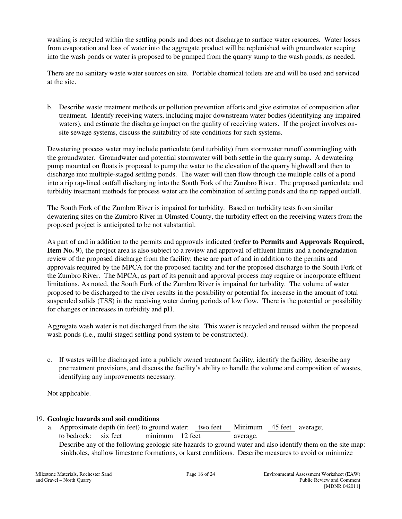washing is recycled within the settling ponds and does not discharge to surface water resources. Water losses from evaporation and loss of water into the aggregate product will be replenished with groundwater seeping into the wash ponds or water is proposed to be pumped from the quarry sump to the wash ponds, as needed.

There are no sanitary waste water sources on site. Portable chemical toilets are and will be used and serviced at the site.

b. Describe waste treatment methods or pollution prevention efforts and give estimates of composition after treatment. Identify receiving waters, including major downstream water bodies (identifying any impaired waters), and estimate the discharge impact on the quality of receiving waters. If the project involves onsite sewage systems, discuss the suitability of site conditions for such systems.

Dewatering process water may include particulate (and turbidity) from stormwater runoff commingling with the groundwater. Groundwater and potential stormwater will both settle in the quarry sump. A dewatering pump mounted on floats is proposed to pump the water to the elevation of the quarry highwall and then to discharge into multiple-staged settling ponds. The water will then flow through the multiple cells of a pond into a rip rap-lined outfall discharging into the South Fork of the Zumbro River. The proposed particulate and turbidity treatment methods for process water are the combination of settling ponds and the rip rapped outfall.

The South Fork of the Zumbro River is impaired for turbidity. Based on turbidity tests from similar dewatering sites on the Zumbro River in Olmsted County, the turbidity effect on the receiving waters from the proposed project is anticipated to be not substantial.

As part of and in addition to the permits and approvals indicated (**refer to Permits and Approvals Required, Item No. 9**), the project area is also subject to a review and approval of effluent limits and a nondegradation review of the proposed discharge from the facility; these are part of and in addition to the permits and approvals required by the MPCA for the proposed facility and for the proposed discharge to the South Fork of the Zumbro River. The MPCA, as part of its permit and approval process may require or incorporate effluent limitations. As noted, the South Fork of the Zumbro River is impaired for turbidity. The volume of water proposed to be discharged to the river results in the possibility or potential for increase in the amount of total suspended solids (TSS) in the receiving water during periods of low flow. There is the potential or possibility for changes or increases in turbidity and pH.

Aggregate wash water is not discharged from the site. This water is recycled and reused within the proposed wash ponds (i.e., multi-staged settling pond system to be constructed).

c. If wastes will be discharged into a publicly owned treatment facility, identify the facility, describe any pretreatment provisions, and discuss the facility's ability to handle the volume and composition of wastes, identifying any improvements necessary.

Not applicable.

# 19. **Geologic hazards and soil conditions**

a. Approximate depth (in feet) to ground water: two feet Minimum 45 feet average; to bedrock: six feet minimum 12 feet average. Describe any of the following geologic site hazards to ground water and also identify them on the site map: sinkholes, shallow limestone formations, or karst conditions. Describe measures to avoid or minimize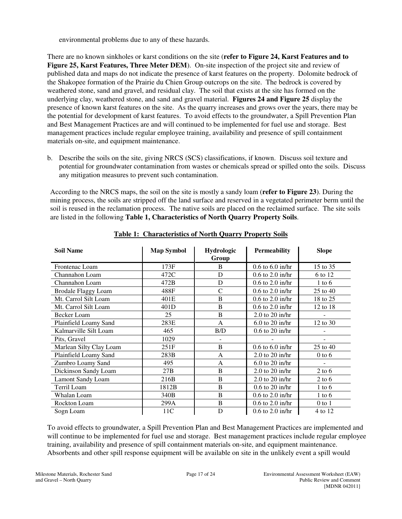environmental problems due to any of these hazards.

There are no known sinkholes or karst conditions on the site (**refer to Figure 24, Karst Features and to Figure 25, Karst Features, Three Meter DEM**). On-site inspection of the project site and review of published data and maps do not indicate the presence of karst features on the property. Dolomite bedrock of the Shakopee formation of the Prairie du Chien Group outcrops on the site. The bedrock is covered by weathered stone, sand and gravel, and residual clay. The soil that exists at the site has formed on the underlying clay, weathered stone, and sand and gravel material. **Figures 24 and Figure 25** display the presence of known karst features on the site. As the quarry increases and grows over the years, there may be the potential for development of karst features. To avoid effects to the groundwater, a Spill Prevention Plan and Best Management Practices are and will continued to be implemented for fuel use and storage. Best management practices include regular employee training, availability and presence of spill containment materials on-site, and equipment maintenance.

b. Describe the soils on the site, giving NRCS (SCS) classifications, if known. Discuss soil texture and potential for groundwater contamination from wastes or chemicals spread or spilled onto the soils. Discuss any mitigation measures to prevent such contamination.

According to the NRCS maps, the soil on the site is mostly a sandy loam (**refer to Figure 23**). During the mining process, the soils are stripped off the land surface and reserved in a vegetated perimeter berm until the soil is reused in the reclamation process. The native soils are placed on the reclaimed surface. The site soils are listed in the following **Table 1, Characteristics of North Quarry Property Soils**.

| <b>Soil Name</b>           | <b>Map Symbol</b> | Hydrologic<br>Group | <b>Permeability</b>  | <b>Slope</b> |
|----------------------------|-------------------|---------------------|----------------------|--------------|
| Frontenac Loam             | 173F              | B                   | $0.6$ to $6.0$ in/hr | 15 to 35     |
| Channahon Loam             | 472C              | D                   | $0.6$ to $2.0$ in/hr | 6 to 12      |
| Channahon Loam             | 472B              | D                   | $0.6$ to $2.0$ in/hr | $1$ to $6$   |
| <b>Brodale Flaggy Loam</b> | 488F              | $\mathcal{C}$       | $0.6$ to $2.0$ in/hr | 25 to 40     |
| Mt. Carrol Silt Loam       | 401E              | B                   | $0.6$ to $2.0$ in/hr | 18 to 25     |
| Mt. Carrol Silt Loam       | 401D              | B                   | $0.6$ to $2.0$ in/hr | 12 to 18     |
| <b>Becker Loam</b>         | 25                | B                   | $2.0$ to $20$ in/hr  |              |
| Plainfield Loamy Sand      | 283E              | A                   | $6.0$ to $20$ in/hr  | 12 to 30     |
| Kalmarville Silt Loam      | 465               | B/D                 | $0.6$ to $20$ in/hr  |              |
| Pits, Gravel               | 1029              |                     |                      |              |
| Marlean Silty Clay Loam    | 251F              | B                   | $0.6$ to $6.0$ in/hr | 25 to 40     |
| Plainfield Loamy Sand      | 283B              | A                   | $2.0$ to $20$ in/hr  | $0$ to $6$   |
| Zumbro Loamy Sand          | 495               | A                   | $6.0$ to 20 in/hr    |              |
| Dickinson Sandy Loam       | 27B               | B                   | $2.0$ to $20$ in/hr  | $2$ to 6     |
| <b>Lamont Sandy Loam</b>   | 216B              | B                   | $2.0$ to $20$ in/hr  | $2$ to 6     |
| Terril Loam                | 1812B             | B                   | $0.6$ to $20$ in/hr  | $1$ to $6$   |
| Whalan Loam                | 340B              | B                   | $0.6$ to $2.0$ in/hr | $1$ to $6$   |
| Rockton Loam               | 299A              | B                   | $0.6$ to $2.0$ in/hr | $0$ to $1$   |
| Sogn Loam                  | 11C               | D                   | $0.6$ to $2.0$ in/hr | 4 to 12      |

**Table 1: Characteristics of North Quarry Property Soils**

To avoid effects to groundwater, a Spill Prevention Plan and Best Management Practices are implemented and will continue to be implemented for fuel use and storage. Best management practices include regular employee training, availability and presence of spill containment materials on-site, and equipment maintenance. Absorbents and other spill response equipment will be available on site in the unlikely event a spill would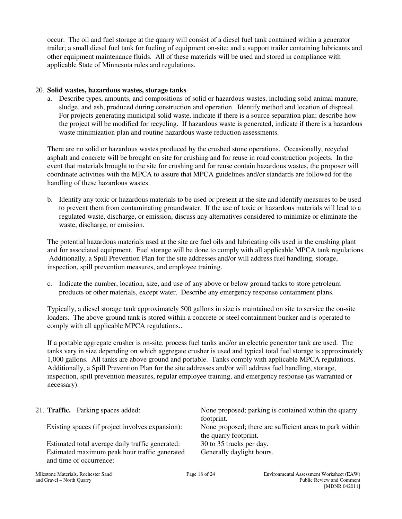occur. The oil and fuel storage at the quarry will consist of a diesel fuel tank contained within a generator trailer; a small diesel fuel tank for fueling of equipment on-site; and a support trailer containing lubricants and other equipment maintenance fluids. All of these materials will be used and stored in compliance with applicable State of Minnesota rules and regulations.

### 20. **Solid wastes, hazardous wastes, storage tanks**

a. Describe types, amounts, and compositions of solid or hazardous wastes, including solid animal manure, sludge, and ash, produced during construction and operation. Identify method and location of disposal. For projects generating municipal solid waste, indicate if there is a source separation plan; describe how the project will be modified for recycling. If hazardous waste is generated, indicate if there is a hazardous waste minimization plan and routine hazardous waste reduction assessments.

There are no solid or hazardous wastes produced by the crushed stone operations. Occasionally, recycled asphalt and concrete will be brought on site for crushing and for reuse in road construction projects. In the event that materials brought to the site for crushing and for reuse contain hazardous wastes, the proposer will coordinate activities with the MPCA to assure that MPCA guidelines and/or standards are followed for the handling of these hazardous wastes.

b. Identify any toxic or hazardous materials to be used or present at the site and identify measures to be used to prevent them from contaminating groundwater. If the use of toxic or hazardous materials will lead to a regulated waste, discharge, or emission, discuss any alternatives considered to minimize or eliminate the waste, discharge, or emission.

The potential hazardous materials used at the site are fuel oils and lubricating oils used in the crushing plant and for associated equipment. Fuel storage will be done to comply with all applicable MPCA tank regulations. Additionally, a Spill Prevention Plan for the site addresses and/or will address fuel handling, storage, inspection, spill prevention measures, and employee training.

c. Indicate the number, location, size, and use of any above or below ground tanks to store petroleum products or other materials, except water. Describe any emergency response containment plans.

Typically, a diesel storage tank approximately 500 gallons in size is maintained on site to service the on-site loaders. The above-ground tank is stored within a concrete or steel containment bunker and is operated to comply with all applicable MPCA regulations..

If a portable aggregate crusher is on-site, process fuel tanks and/or an electric generator tank are used. The tanks vary in size depending on which aggregate crusher is used and typical total fuel storage is approximately 1,000 gallons. All tanks are above ground and portable. Tanks comply with applicable MPCA regulations. Additionally, a Spill Prevention Plan for the site addresses and/or will address fuel handling, storage, inspection, spill prevention measures, regular employee training, and emergency response (as warranted or necessary).

|  | 21. <b>Traffic.</b> Parking spaces added:        | None proposed; parking is contained within the quarry    |
|--|--------------------------------------------------|----------------------------------------------------------|
|  |                                                  | footprint.                                               |
|  | Existing spaces (if project involves expansion): | None proposed; there are sufficient areas to park within |
|  |                                                  | the quarry footprint.                                    |
|  | Estimated total average daily traffic generated: | 30 to 35 trucks per day.                                 |
|  | Estimated maximum peak hour traffic generated    | Generally daylight hours.                                |
|  | and time of occurrence:                          |                                                          |
|  |                                                  |                                                          |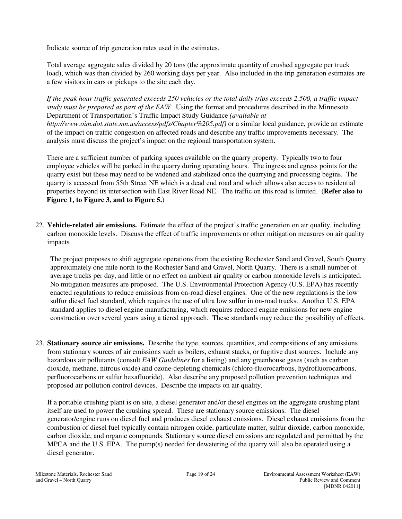Indicate source of trip generation rates used in the estimates.

Total average aggregate sales divided by 20 tons (the approximate quantity of crushed aggregate per truck load), which was then divided by 260 working days per year. Also included in the trip generation estimates are a few visitors in cars or pickups to the site each day.

*If the peak hour traffic generated exceeds 250 vehicles or the total daily trips exceeds 2,500, a traffic impact study must be prepared as part of the EAW.* Using the format and procedures described in the Minnesota Department of Transportation's Traffic Impact Study Guidance *(available at http://www.oim.dot.state.mn.us/access/pdfs/Chapter%205.pdf)* or a similar local guidance, provide an estimate of the impact on traffic congestion on affected roads and describe any traffic improvements necessary. The analysis must discuss the project's impact on the regional transportation system.

There are a sufficient number of parking spaces available on the quarry property. Typically two to four employee vehicles will be parked in the quarry during operating hours. The ingress and egress points for the quarry exist but these may need to be widened and stabilized once the quarrying and processing begins. The quarry is accessed from 55th Street NE which is a dead end road and which allows also access to residential properties beyond its intersection with East River Road NE. The traffic on this road is limited. (**Refer also to Figure 1, to Figure 3, and to Figure 5.**)

22. **Vehicle-related air emissions.** Estimate the effect of the project's traffic generation on air quality, including carbon monoxide levels. Discuss the effect of traffic improvements or other mitigation measures on air quality impacts.

The project proposes to shift aggregate operations from the existing Rochester Sand and Gravel, South Quarry approximately one mile north to the Rochester Sand and Gravel, North Quarry. There is a small number of average trucks per day, and little or no effect on ambient air quality or carbon monoxide levels is anticipated. No mitigation measures are proposed. The U.S. Environmental Protection Agency (U.S. EPA) has recently enacted regulations to reduce emissions from on-road diesel engines. One of the new regulations is the low sulfur diesel fuel standard, which requires the use of ultra low sulfur in on-road trucks. Another U.S. EPA standard applies to diesel engine manufacturing, which requires reduced engine emissions for new engine construction over several years using a tiered approach. These standards may reduce the possibility of effects.

23. **Stationary source air emissions.** Describe the type, sources, quantities, and compositions of any emissions from stationary sources of air emissions such as boilers, exhaust stacks, or fugitive dust sources. Include any hazardous air pollutants (consult *EAW Guidelines* for a listing) and any greenhouse gases (such as carbon dioxide, methane, nitrous oxide) and ozone-depleting chemicals (chloro-fluorocarbons, hydrofluorocarbons, perfluorocarbons or sulfur hexafluoride). Also describe any proposed pollution prevention techniques and proposed air pollution control devices. Describe the impacts on air quality.

If a portable crushing plant is on site, a diesel generator and/or diesel engines on the aggregate crushing plant itself are used to power the crushing spread. These are stationary source emissions. The diesel generator/engine runs on diesel fuel and produces diesel exhaust emissions. Diesel exhaust emissions from the combustion of diesel fuel typically contain nitrogen oxide, particulate matter, sulfur dioxide, carbon monoxide, carbon dioxide, and organic compounds. Stationary source diesel emissions are regulated and permitted by the MPCA and the U.S. EPA. The pump(s) needed for dewatering of the quarry will also be operated using a diesel generator.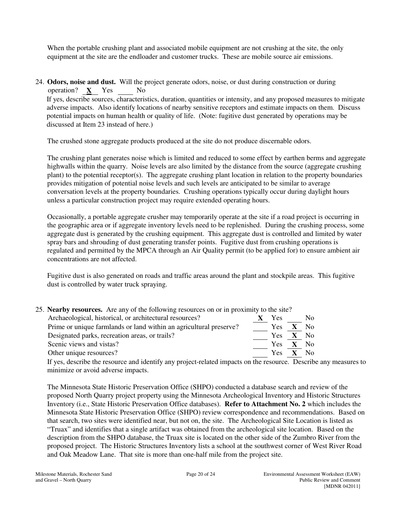When the portable crushing plant and associated mobile equipment are not crushing at the site, the only equipment at the site are the endloader and customer trucks. These are mobile source air emissions.

24. **Odors, noise and dust.** Will the project generate odors, noise, or dust during construction or during operation?  $\underline{\mathbf{X}}$  Yes  $\underline{\mathbf{N}}$  No

If yes, describe sources, characteristics, duration, quantities or intensity, and any proposed measures to mitigate adverse impacts. Also identify locations of nearby sensitive receptors and estimate impacts on them. Discuss potential impacts on human health or quality of life. (Note: fugitive dust generated by operations may be discussed at Item 23 instead of here.)

The crushed stone aggregate products produced at the site do not produce discernable odors.

The crushing plant generates noise which is limited and reduced to some effect by earthen berms and aggregate highwalls within the quarry. Noise levels are also limited by the distance from the source (aggregate crushing plant) to the potential receptor(s). The aggregate crushing plant location in relation to the property boundaries provides mitigation of potential noise levels and such levels are anticipated to be similar to average conversation levels at the property boundaries. Crushing operations typically occur during daylight hours unless a particular construction project may require extended operating hours.

Occasionally, a portable aggregate crusher may temporarily operate at the site if a road project is occurring in the geographic area or if aggregate inventory levels need to be replenished. During the crushing process, some aggregate dust is generated by the crushing equipment. This aggregate dust is controlled and limited by water spray bars and shrouding of dust generating transfer points. Fugitive dust from crushing operations is regulated and permitted by the MPCA through an Air Quality permit (to be applied for) to ensure ambient air concentrations are not affected.

Fugitive dust is also generated on roads and traffic areas around the plant and stockpile areas. This fugitive dust is controlled by water truck spraying.

| 25. Nearby resources. Are any of the following resources on or in proximity to the site? |      |                |              |
|------------------------------------------------------------------------------------------|------|----------------|--------------|
| Archaeological, historical, or architectural resources?                                  | Yes  |                | No           |
| Prime or unique farmlands or land within an agricultural preserve?                       | Yes. |                | - No         |
| Designated parks, recreation areas, or trails?                                           | Yes. | $\mathbf{X}$   | - No         |
| Scenic views and vistas?                                                                 | Yes. | $\mathbf{X}$ . | $N_{\Omega}$ |
| Other unique resources?                                                                  | Yes: |                | $X$ No       |

If yes, describe the resource and identify any project-related impacts on the resource. Describe any measures to minimize or avoid adverse impacts.

The Minnesota State Historic Preservation Office (SHPO) conducted a database search and review of the proposed North Quarry project property using the Minnesota Archeological Inventory and Historic Structures Inventory (i.e., State Historic Preservation Office databases). **Refer to Attachment No. 2** which includes the Minnesota State Historic Preservation Office (SHPO) review correspondence and recommendations. Based on that search, two sites were identified near, but not on, the site. The Archeological Site Location is listed as "Truax" and identifies that a single artifact was obtained from the archeological site location. Based on the description from the SHPO database, the Truax site is located on the other side of the Zumbro River from the proposed project. The Historic Structures Inventory lists a school at the southwest corner of West River Road and Oak Meadow Lane. That site is more than one-half mile from the project site.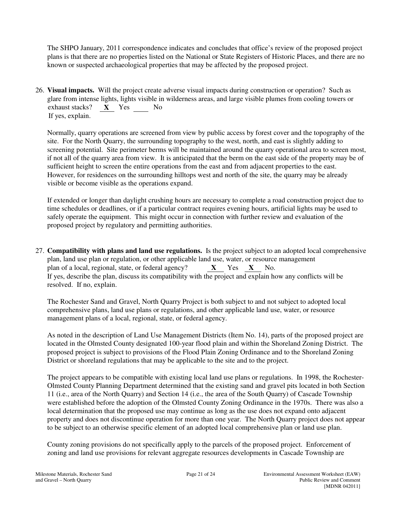The SHPO January, 2011 correspondence indicates and concludes that office's review of the proposed project plans is that there are no properties listed on the National or State Registers of Historic Places, and there are no known or suspected archaeological properties that may be affected by the proposed project.

26. **Visual impacts.** Will the project create adverse visual impacts during construction or operation? Such as glare from intense lights, lights visible in wilderness areas, and large visible plumes from cooling towers or exhaust stacks? **X** Yes No If yes, explain.

Normally, quarry operations are screened from view by public access by forest cover and the topography of the site. For the North Quarry, the surrounding topography to the west, north, and east is slightly adding to screening potential. Site perimeter berms will be maintained around the quarry operational area to screen most, if not all of the quarry area from view. It is anticipated that the berm on the east side of the property may be of sufficient height to screen the entire operations from the east and from adjacent properties to the east. However, for residences on the surrounding hilltops west and north of the site, the quarry may be already visible or become visible as the operations expand.

If extended or longer than daylight crushing hours are necessary to complete a road construction project due to time schedules or deadlines, or if a particular contract requires evening hours, artificial lights may be used to safely operate the equipment. This might occur in connection with further review and evaluation of the proposed project by regulatory and permitting authorities.

27. **Compatibility with plans and land use regulations.** Is the project subject to an adopted local comprehensive plan, land use plan or regulation, or other applicable land use, water, or resource management plan of a local, regional, state, or federal agency? **X** Yes **X** No. If yes, describe the plan, discuss its compatibility with the project and explain how any conflicts will be resolved. If no, explain.

The Rochester Sand and Gravel, North Quarry Project is both subject to and not subject to adopted local comprehensive plans, land use plans or regulations, and other applicable land use, water, or resource management plans of a local, regional, state, or federal agency.

As noted in the description of Land Use Management Districts (Item No. 14), parts of the proposed project are located in the Olmsted County designated 100-year flood plain and within the Shoreland Zoning District. The proposed project is subject to provisions of the Flood Plain Zoning Ordinance and to the Shoreland Zoning District or shoreland regulations that may be applicable to the site and to the project.

The project appears to be compatible with existing local land use plans or regulations. In 1998, the Rochester-Olmsted County Planning Department determined that the existing sand and gravel pits located in both Section 11 (i.e., area of the North Quarry) and Section 14 (i.e., the area of the South Quarry) of Cascade Township were established before the adoption of the Olmsted County Zoning Ordinance in the 1970s. There was also a local determination that the proposed use may continue as long as the use does not expand onto adjacent property and does not discontinue operation for more than one year. The North Quarry project does not appear to be subject to an otherwise specific element of an adopted local comprehensive plan or land use plan.

County zoning provisions do not specifically apply to the parcels of the proposed project. Enforcement of zoning and land use provisions for relevant aggregate resources developments in Cascade Township are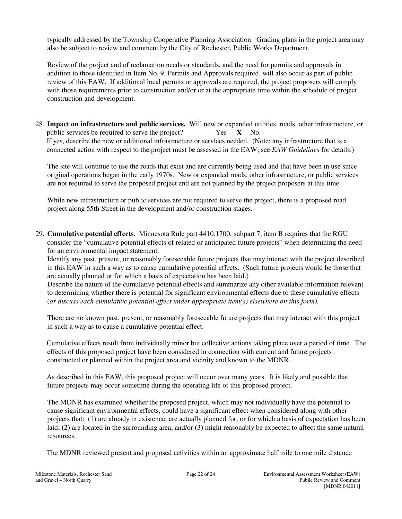typically addressed by the Township Cooperative Planning Association. Grading plans in the project area may also be subject to review and comment by the City of Rochester, Public Works Department.

Review of the project and of reclamation needs or standards, and the need for permits and approvals in addition to those identified in Item No. 9, Permits and Approvals required, will also occur as part of public review of this EAW. If additional local permits or approvals are required, the project proposers will comply with those requirements prior to construction and/or or at the appropriate time within the schedule of project construction and development.

28. **Impact on infrastructure and public services.** Will new or expanded utilities, roads, other infrastructure, or public services be required to serve the project? Yes **X** No. If yes, describe the new or additional infrastructure or services needed. (Note: any infrastructure that is a connected action with respect to the project must be assessed in the EAW; see *EAW Guidelines* for details.)

The site will continue to use the roads that exist and are currently being used and that have been in use since original operations began in the early 1970s. New or expanded roads, other infrastructure, or public services are not required to serve the proposed project and are not planned by the project proposers at this time.

While new infrastructure or public services are not required to serve the project, there is a proposed road project along 55th Street in the development and/or construction stages.

29. **Cumulative potential effects.** Minnesota Rule part 4410.1700, subpart 7, item B requires that the RGU consider the "cumulative potential effects of related or anticipated future projects" when determining the need for an environmental impact statement.

Identify any past, present, or reasonably foreseeable future projects that may interact with the project described in this EAW in such a way as to cause cumulative potential effects. (Such future projects would be those that are actually planned or for which a basis of expectation has been laid.)

Describe the nature of the cumulative potential effects and summarize any other available information relevant to determining whether there is potential for significant environmental effects due to these cumulative effects (*or discuss each cumulative potential effect under appropriate item(s) elsewhere on this form).*

There are no known past, present, or reasonably foreseeable future projects that may interact with this project in such a way as to cause a cumulative potential effect.

Cumulative effects result from individually minor but collective actions taking place over a period of time. The effects of this proposed project have been considered in connection with current and future projects constructed or planned within the project area and vicinity and known to the MDNR.

As described in this EAW, this proposed project will occur over many years. It is likely and possible that future projects may occur sometime during the operating life of this proposed project.

The MDNR has examined whether the proposed project, which may not individually have the potential to cause significant environmental effects, could have a significant effect when considered along with other projects that: (1) are already in existence, are actually planned for, or for which a basis of expectation has been laid; (2) are located in the surrounding area; and/or (3) might reasonably be expected to affect the same natural resources.

The MDNR reviewed present and proposed activities within an approximate half mile to one mile distance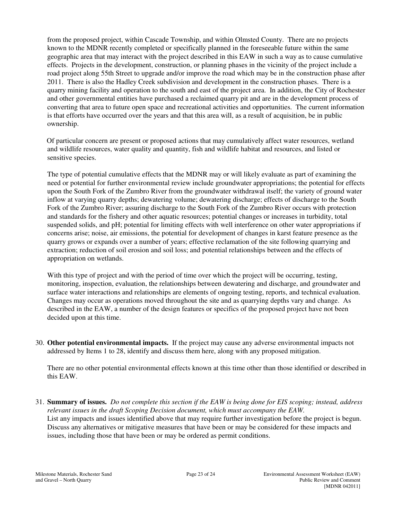from the proposed project, within Cascade Township, and within Olmsted County. There are no projects known to the MDNR recently completed or specifically planned in the foreseeable future within the same geographic area that may interact with the project described in this EAW in such a way as to cause cumulative effects. Projects in the development, construction, or planning phases in the vicinity of the project include a road project along 55th Street to upgrade and/or improve the road which may be in the construction phase after 2011. There is also the Hadley Creek subdivision and development in the construction phases. There is a quarry mining facility and operation to the south and east of the project area. In addition, the City of Rochester and other governmental entities have purchased a reclaimed quarry pit and are in the development process of converting that area to future open space and recreational activities and opportunities. The current information is that efforts have occurred over the years and that this area will, as a result of acquisition, be in public ownership.

Of particular concern are present or proposed actions that may cumulatively affect water resources, wetland and wildlife resources, water quality and quantity, fish and wildlife habitat and resources, and listed or sensitive species.

The type of potential cumulative effects that the MDNR may or will likely evaluate as part of examining the need or potential for further environmental review include groundwater appropriations; the potential for effects upon the South Fork of the Zumbro River from the groundwater withdrawal itself; the variety of ground water inflow at varying quarry depths; dewatering volume; dewatering discharge; effects of discharge to the South Fork of the Zumbro River; assuring discharge to the South Fork of the Zumbro River occurs with protection and standards for the fishery and other aquatic resources; potential changes or increases in turbidity, total suspended solids, and pH; potential for limiting effects with well interference on other water appropriations if concerns arise; noise, air emissions, the potential for development of changes in karst feature presence as the quarry grows or expands over a number of years; effective reclamation of the site following quarrying and extraction; reduction of soil erosion and soil loss; and potential relationships between and the effects of appropriation on wetlands.

With this type of project and with the period of time over which the project will be occurring, testing, monitoring, inspection, evaluation, the relationships between dewatering and discharge, and groundwater and surface water interactions and relationships are elements of ongoing testing, reports, and technical evaluation. Changes may occur as operations moved throughout the site and as quarrying depths vary and change. As described in the EAW, a number of the design features or specifics of the proposed project have not been decided upon at this time.

30. **Other potential environmental impacts.** If the project may cause any adverse environmental impacts not addressed by Items 1 to 28, identify and discuss them here, along with any proposed mitigation.

There are no other potential environmental effects known at this time other than those identified or described in this EAW.

31. **Summary of issues.** *Do not complete this section if the EAW is being done for EIS scoping; instead, address relevant issues in the draft Scoping Decision document, which must accompany the EAW.*  List any impacts and issues identified above that may require further investigation before the project is begun. Discuss any alternatives or mitigative measures that have been or may be considered for these impacts and issues, including those that have been or may be ordered as permit conditions.